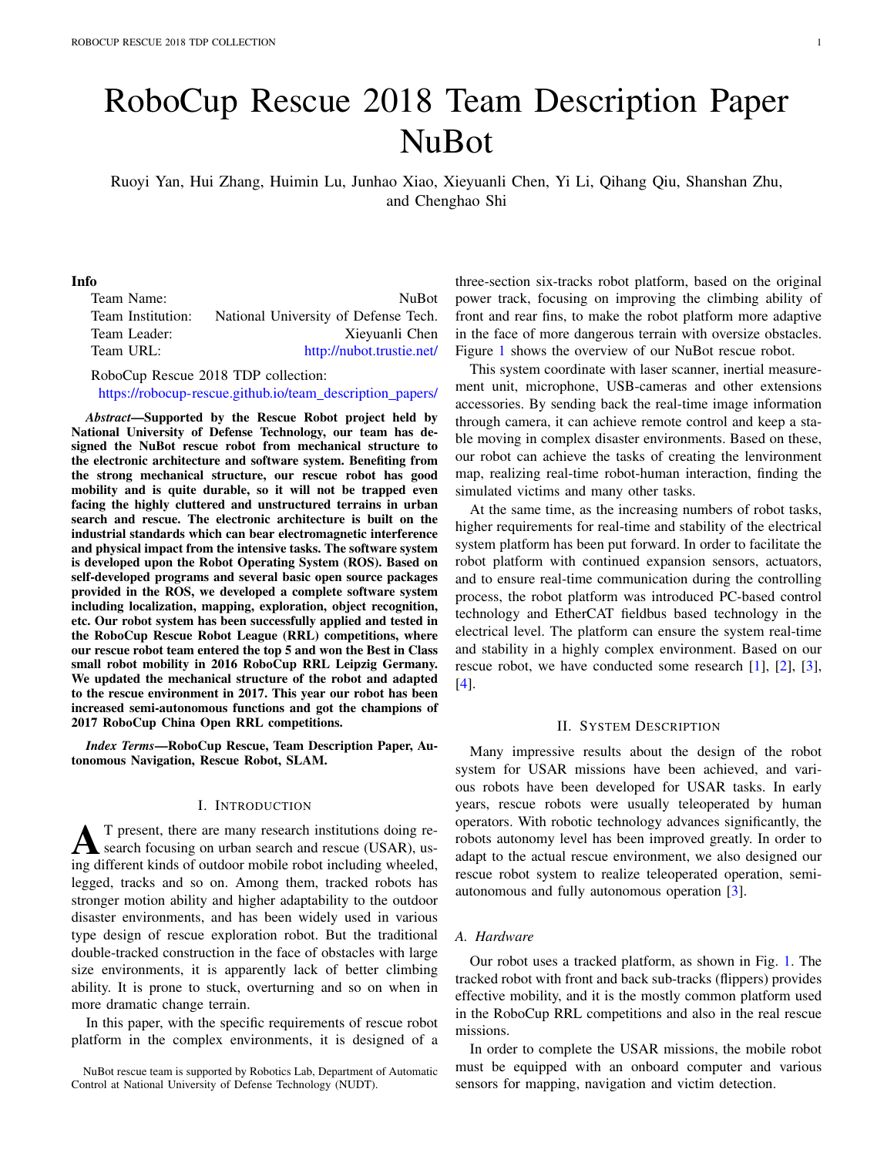# RoboCup Rescue 2018 Team Description Paper NuBot

Ruoyi Yan, Hui Zhang, Huimin Lu, Junhao Xiao, Xieyuanli Chen, Yi Li, Qihang Qiu, Shanshan Zhu, and Chenghao Shi

## Info

| <b>NuBot</b>                         |
|--------------------------------------|
| National University of Defense Tech. |
| Xieyuanli Chen                       |
| http://nubot.trustie.net/            |
|                                      |

RoboCup Rescue 2018 TDP collection:

https://robocup-rescue.github.io/team\_description\_papers/

*Abstract*—Supported by the Rescue Robot project held by National University of Defense Technology, our team has designed the NuBot rescue robot from mechanical structure to the electronic architecture and software system. Benefiting from the strong mechanical structure, our rescue robot has good mobility and is quite durable, so it will not be trapped even facing the highly cluttered and unstructured terrains in urban search and rescue. The electronic architecture is built on the industrial standards which can bear electromagnetic interference and physical impact from the intensive tasks. The software system is developed upon the Robot Operating System (ROS). Based on self-developed programs and several basic open source packages provided in the ROS, we developed a complete software system including localization, mapping, exploration, object recognition, etc. Our robot system has been successfully applied and tested in the RoboCup Rescue Robot League (RRL) competitions, where our rescue robot team entered the top 5 and won the Best in Class small robot mobility in 2016 RoboCup RRL Leipzig Germany. We updated the mechanical structure of the robot and adapted to the rescue environment in 2017. This year our robot has been increased semi-autonomous functions and got the champions of 2017 RoboCup China Open RRL competitions.

*Index Terms*—RoboCup Rescue, Team Description Paper, Autonomous Navigation, Rescue Robot, SLAM.

## I. INTRODUCTION

**AT** present, there are many research institutions doing research focusing on urban search and rescue (USAR), us-<br>ing different kinds of outdoor mobils rebet including wheeled ing different kinds of outdoor mobile robot including wheeled, legged, tracks and so on. Among them, tracked robots has stronger motion ability and higher adaptability to the outdoor disaster environments, and has been widely used in various type design of rescue exploration robot. But the traditional double-tracked construction in the face of obstacles with large size environments, it is apparently lack of better climbing ability. It is prone to stuck, overturning and so on when in more dramatic change terrain.

In this paper, with the specific requirements of rescue robot platform in the complex environments, it is designed of a three-section six-tracks robot platform, based on the original power track, focusing on improving the climbing ability of front and rear fins, to make the robot platform more adaptive in the face of more dangerous terrain with oversize obstacles. Figure 1 shows the overview of our NuBot rescue robot.

This system coordinate with laser scanner, inertial measurement unit, microphone, USB-cameras and other extensions accessories. By sending back the real-time image information through camera, it can achieve remote control and keep a stable moving in complex disaster environments. Based on these, our robot can achieve the tasks of creating the lenvironment map, realizing real-time robot-human interaction, finding the simulated victims and many other tasks.

At the same time, as the increasing numbers of robot tasks, higher requirements for real-time and stability of the electrical system platform has been put forward. In order to facilitate the robot platform with continued expansion sensors, actuators, and to ensure real-time communication during the controlling process, the robot platform was introduced PC-based control technology and EtherCAT fieldbus based technology in the electrical level. The platform can ensure the system real-time and stability in a highly complex environment. Based on our rescue robot, we have conducted some research [1], [2], [3], [4].

#### II. SYSTEM DESCRIPTION

Many impressive results about the design of the robot system for USAR missions have been achieved, and various robots have been developed for USAR tasks. In early years, rescue robots were usually teleoperated by human operators. With robotic technology advances significantly, the robots autonomy level has been improved greatly. In order to adapt to the actual rescue environment, we also designed our rescue robot system to realize teleoperated operation, semiautonomous and fully autonomous operation [3].

## *A. Hardware*

Our robot uses a tracked platform, as shown in Fig. 1. The tracked robot with front and back sub-tracks (flippers) provides effective mobility, and it is the mostly common platform used in the RoboCup RRL competitions and also in the real rescue missions.

In order to complete the USAR missions, the mobile robot must be equipped with an onboard computer and various sensors for mapping, navigation and victim detection.

NuBot rescue team is supported by Robotics Lab, Department of Automatic Control at National University of Defense Technology (NUDT).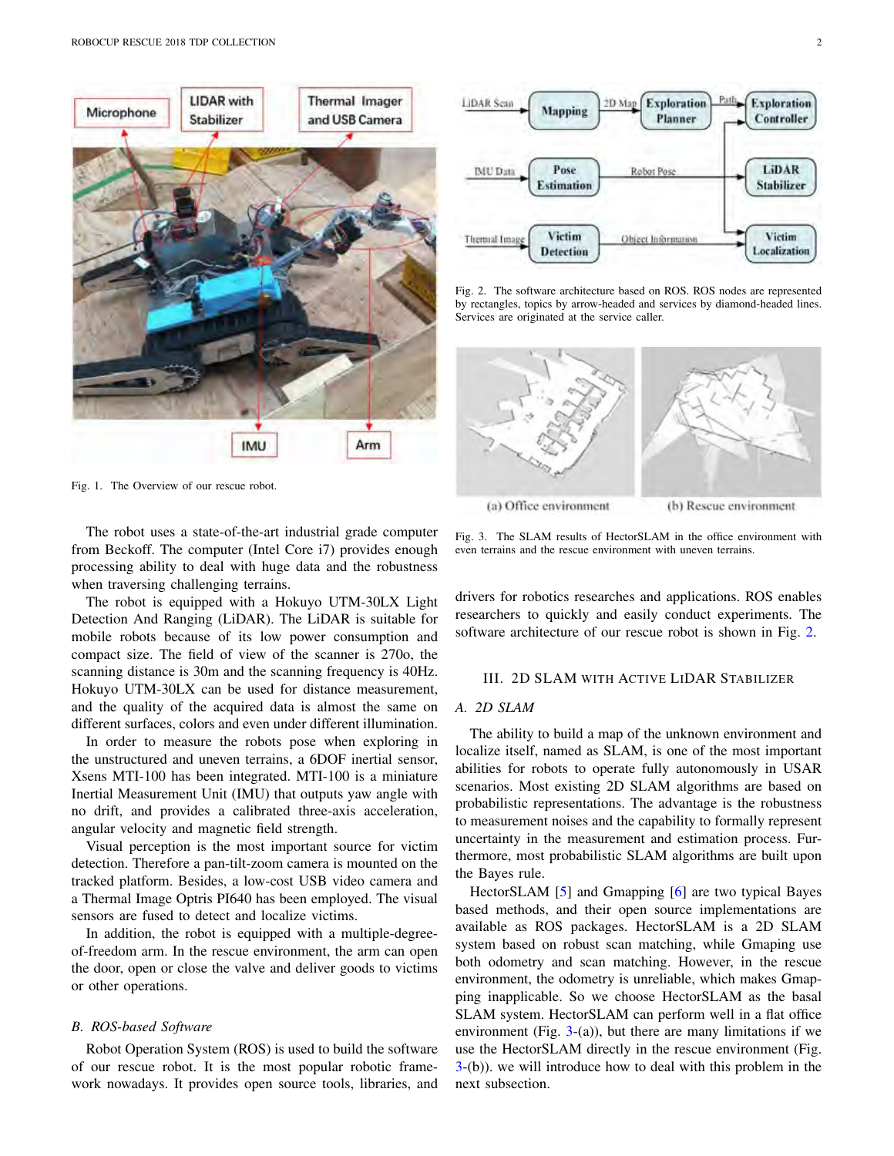

Fig. 1. The Overview of our rescue robot.

The robot uses a state-of-the-art industrial grade computer from Beckoff. The computer (Intel Core i7) provides enough processing ability to deal with huge data and the robustness when traversing challenging terrains.

The robot is equipped with a Hokuyo UTM-30LX Light Detection And Ranging (LiDAR). The LiDAR is suitable for mobile robots because of its low power consumption and compact size. The field of view of the scanner is 270o, the scanning distance is 30m and the scanning frequency is 40Hz. Hokuyo UTM-30LX can be used for distance measurement, and the quality of the acquired data is almost the same on different surfaces, colors and even under different illumination.

In order to measure the robots pose when exploring in the unstructured and uneven terrains, a 6DOF inertial sensor, Xsens MTI-100 has been integrated. MTI-100 is a miniature Inertial Measurement Unit (IMU) that outputs yaw angle with no drift, and provides a calibrated three-axis acceleration, angular velocity and magnetic field strength.

Visual perception is the most important source for victim detection. Therefore a pan-tilt-zoom camera is mounted on the tracked platform. Besides, a low-cost USB video camera and a Thermal Image Optris PI640 has been employed. The visual sensors are fused to detect and localize victims.

In addition, the robot is equipped with a multiple-degreeof-freedom arm. In the rescue environment, the arm can open the door, open or close the valve and deliver goods to victims or other operations.

## *B. ROS-based Software*

Robot Operation System (ROS) is used to build the software of our rescue robot. It is the most popular robotic framework nowadays. It provides open source tools, libraries, and



Fig. 2. The software architecture based on ROS. ROS nodes are represented by rectangles, topics by arrow-headed and services by diamond-headed lines. Services are originated at the service caller.



Fig. 3. The SLAM results of HectorSLAM in the office environment with even terrains and the rescue environment with uneven terrains.

drivers for robotics researches and applications. ROS enables researchers to quickly and easily conduct experiments. The software architecture of our rescue robot is shown in Fig. 2.

## III. 2D SLAM WITH ACTIVE LIDAR STABILIZER

### *A. 2D SLAM*

The ability to build a map of the unknown environment and localize itself, named as SLAM, is one of the most important abilities for robots to operate fully autonomously in USAR scenarios. Most existing 2D SLAM algorithms are based on probabilistic representations. The advantage is the robustness to measurement noises and the capability to formally represent uncertainty in the measurement and estimation process. Furthermore, most probabilistic SLAM algorithms are built upon the Bayes rule.

HectorSLAM [5] and Gmapping [6] are two typical Bayes based methods, and their open source implementations are available as ROS packages. HectorSLAM is a 2D SLAM system based on robust scan matching, while Gmaping use both odometry and scan matching. However, in the rescue environment, the odometry is unreliable, which makes Gmapping inapplicable. So we choose HectorSLAM as the basal SLAM system. HectorSLAM can perform well in a flat office environment (Fig.  $3-(a)$ ), but there are many limitations if we use the HectorSLAM directly in the rescue environment (Fig.  $3-(b)$ ). we will introduce how to deal with this problem in the next subsection.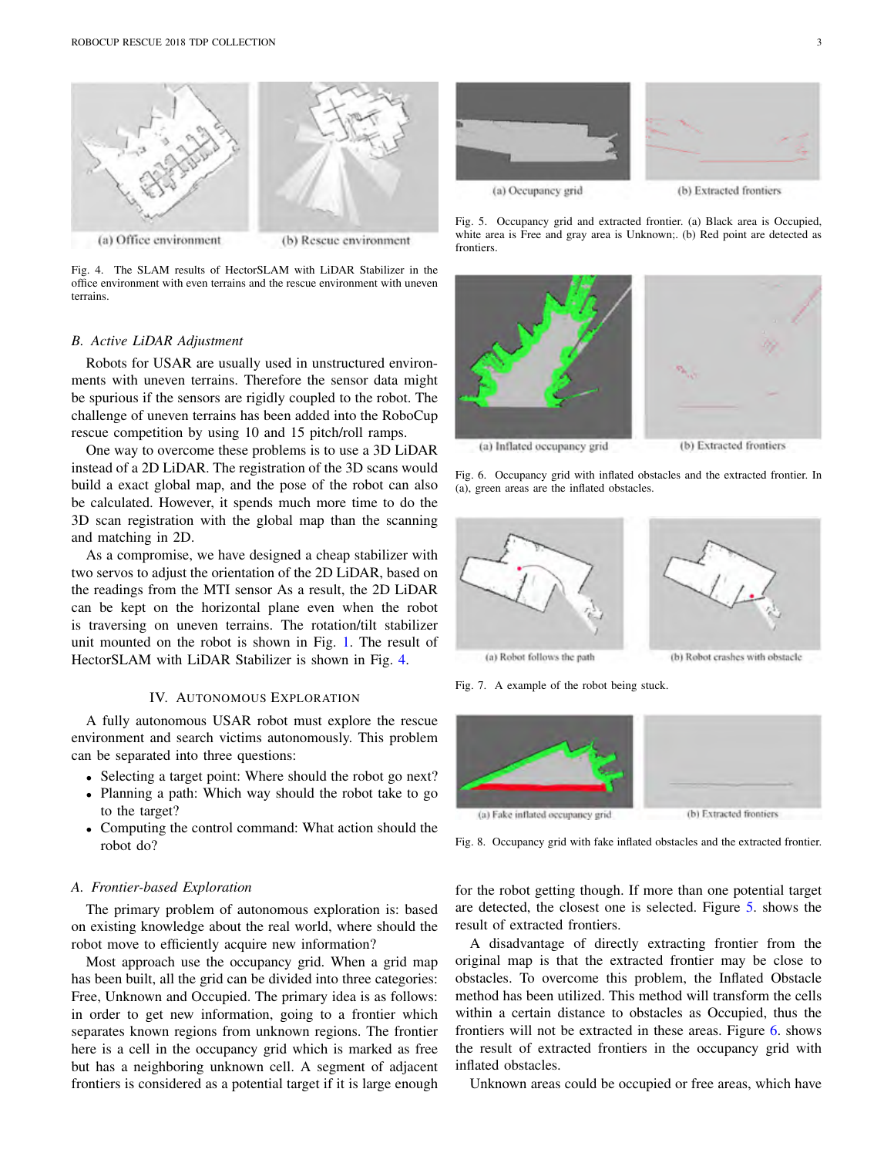

Fig. 4. The SLAM results of HectorSLAM with LiDAR Stabilizer in the office environment with even terrains and the rescue environment with uneven terrains.

#### *B. Active LiDAR Adjustment*

Robots for USAR are usually used in unstructured environments with uneven terrains. Therefore the sensor data might be spurious if the sensors are rigidly coupled to the robot. The challenge of uneven terrains has been added into the RoboCup rescue competition by using 10 and 15 pitch/roll ramps.

One way to overcome these problems is to use a 3D LiDAR instead of a 2D LiDAR. The registration of the 3D scans would build a exact global map, and the pose of the robot can also be calculated. However, it spends much more time to do the 3D scan registration with the global map than the scanning and matching in 2D.

As a compromise, we have designed a cheap stabilizer with two servos to adjust the orientation of the 2D LiDAR, based on the readings from the MTI sensor As a result, the 2D LiDAR can be kept on the horizontal plane even when the robot is traversing on uneven terrains. The rotation/tilt stabilizer unit mounted on the robot is shown in Fig. 1. The result of HectorSLAM with LiDAR Stabilizer is shown in Fig. 4.

# IV. AUTONOMOUS EXPLORATION

A fully autonomous USAR robot must explore the rescue environment and search victims autonomously. This problem can be separated into three questions:

- *•* Selecting a target point: Where should the robot go next?
- *•* Planning a path: Which way should the robot take to go to the target?
- *•* Computing the control command: What action should the robot do?

# *A. Frontier-based Exploration*

The primary problem of autonomous exploration is: based on existing knowledge about the real world, where should the robot move to efficiently acquire new information?

Most approach use the occupancy grid. When a grid map has been built, all the grid can be divided into three categories: Free, Unknown and Occupied. The primary idea is as follows: in order to get new information, going to a frontier which separates known regions from unknown regions. The frontier here is a cell in the occupancy grid which is marked as free but has a neighboring unknown cell. A segment of adjacent frontiers is considered as a potential target if it is large enough



Fig. 5. Occupancy grid and extracted frontier. (a) Black area is Occupied, white area is Free and gray area is Unknown;. (b) Red point are detected as frontiers.



Fig. 6. Occupancy grid with inflated obstacles and the extracted frontier. In (a), green areas are the inflated obstacles.



Fig. 7. A example of the robot being stuck.



Fig. 8. Occupancy grid with fake inflated obstacles and the extracted frontier.

for the robot getting though. If more than one potential target are detected, the closest one is selected. Figure 5. shows the result of extracted frontiers.

A disadvantage of directly extracting frontier from the original map is that the extracted frontier may be close to obstacles. To overcome this problem, the Inflated Obstacle method has been utilized. This method will transform the cells within a certain distance to obstacles as Occupied, thus the frontiers will not be extracted in these areas. Figure 6. shows the result of extracted frontiers in the occupancy grid with inflated obstacles.

Unknown areas could be occupied or free areas, which have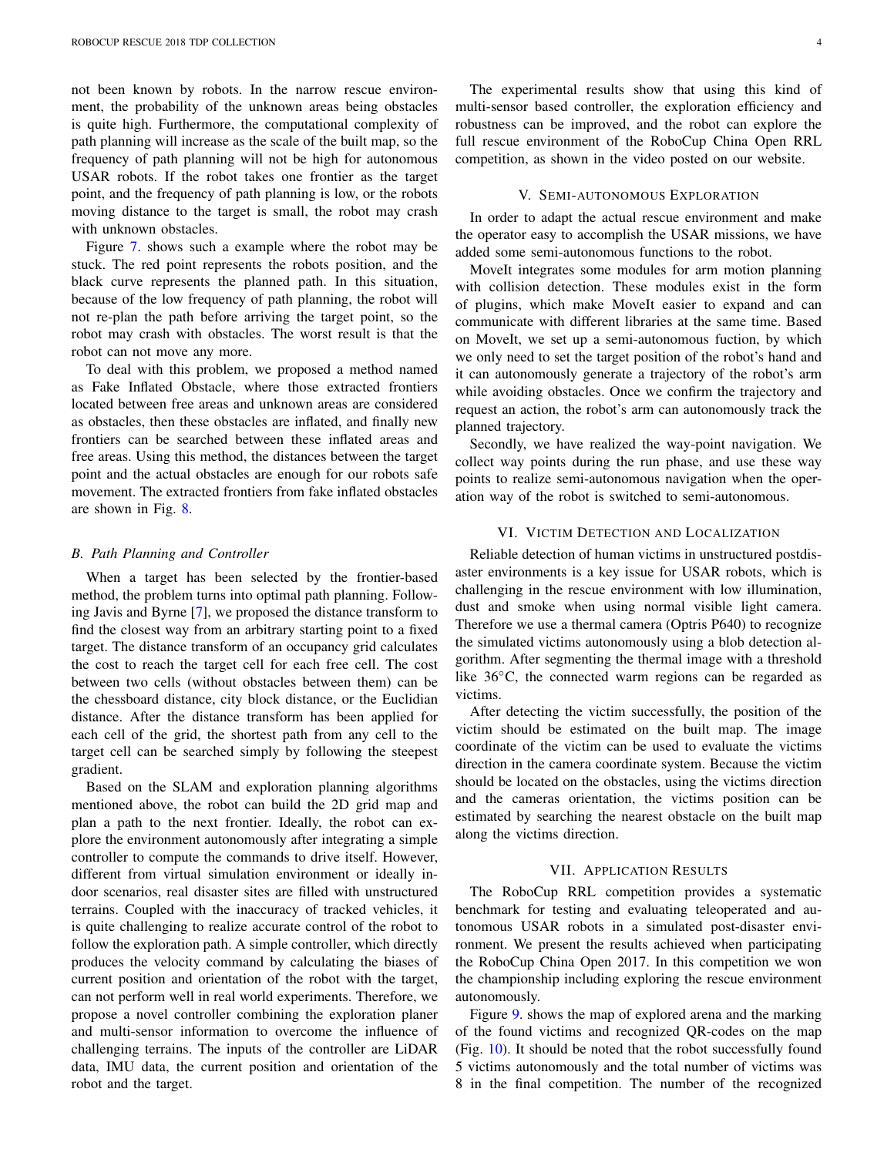not been known by robots. In the narrow rescue environment, the probability of the unknown areas being obstacles is quite high. Furthermore, the computational complexity of path planning will increase as the scale of the built map, so the frequency of path planning will not be high for autonomous USAR robots. If the robot takes one frontier as the target point, and the frequency of path planning is low, or the robots moving distance to the target is small, the robot may crash with unknown obstacles.

Figure 7. shows such a example where the robot may be stuck. The red point represents the robots position, and the black curve represents the planned path. In this situation, because of the low frequency of path planning, the robot will not re-plan the path before arriving the target point, so the robot may crash with obstacles. The worst result is that the robot can not move any more.

To deal with this problem, we proposed a method named as Fake Inflated Obstacle, where those extracted frontiers located between free areas and unknown areas are considered as obstacles, then these obstacles are inflated, and finally new frontiers can be searched between these inflated areas and free areas. Using this method, the distances between the target point and the actual obstacles are enough for our robots safe movement. The extracted frontiers from fake inflated obstacles are shown in Fig. 8.

#### *B. Path Planning and Controller*

When a target has been selected by the frontier-based method, the problem turns into optimal path planning. Following Javis and Byrne [7], we proposed the distance transform to find the closest way from an arbitrary starting point to a fixed target. The distance transform of an occupancy grid calculates the cost to reach the target cell for each free cell. The cost between two cells (without obstacles between them) can be the chessboard distance, city block distance, or the Euclidian distance. After the distance transform has been applied for each cell of the grid, the shortest path from any cell to the target cell can be searched simply by following the steepest gradient.

Based on the SLAM and exploration planning algorithms mentioned above, the robot can build the 2D grid map and plan a path to the next frontier. Ideally, the robot can explore the environment autonomously after integrating a simple controller to compute the commands to drive itself. However, different from virtual simulation environment or ideally indoor scenarios, real disaster sites are filled with unstructured terrains. Coupled with the inaccuracy of tracked vehicles, it is quite challenging to realize accurate control of the robot to follow the exploration path. A simple controller, which directly produces the velocity command by calculating the biases of current position and orientation of the robot with the target, can not perform well in real world experiments. Therefore, we propose a novel controller combining the exploration planer and multi-sensor information to overcome the influence of challenging terrains. The inputs of the controller are LiDAR data, IMU data, the current position and orientation of the robot and the target.

The experimental results show that using this kind of multi-sensor based controller, the exploration efficiency and robustness can be improved, and the robot can explore the full rescue environment of the RoboCup China Open RRL competition, as shown in the video posted on our website.

#### V. SEMI-AUTONOMOUS EXPLORATION

In order to adapt the actual rescue environment and make the operator easy to accomplish the USAR missions, we have added some semi-autonomous functions to the robot.

MoveIt integrates some modules for arm motion planning with collision detection. These modules exist in the form of plugins, which make MoveIt easier to expand and can communicate with different libraries at the same time. Based on MoveIt, we set up a semi-autonomous fuction, by which we only need to set the target position of the robot's hand and it can autonomously generate a trajectory of the robot's arm while avoiding obstacles. Once we confirm the trajectory and request an action, the robot's arm can autonomously track the planned trajectory.

Secondly, we have realized the way-point navigation. We collect way points during the run phase, and use these way points to realize semi-autonomous navigation when the operation way of the robot is switched to semi-autonomous.

## VI. VICTIM DETECTION AND LOCALIZATION

Reliable detection of human victims in unstructured postdisaster environments is a key issue for USAR robots, which is challenging in the rescue environment with low illumination, dust and smoke when using normal visible light camera. Therefore we use a thermal camera (Optris P640) to recognize the simulated victims autonomously using a blob detection algorithm. After segmenting the thermal image with a threshold like  $36^{\circ}$ C, the connected warm regions can be regarded as victims.

After detecting the victim successfully, the position of the victim should be estimated on the built map. The image coordinate of the victim can be used to evaluate the victims direction in the camera coordinate system. Because the victim should be located on the obstacles, using the victims direction and the cameras orientation, the victims position can be estimated by searching the nearest obstacle on the built map along the victims direction.

#### VII. APPLICATION RESULTS

The RoboCup RRL competition provides a systematic benchmark for testing and evaluating teleoperated and autonomous USAR robots in a simulated post-disaster environment. We present the results achieved when participating the RoboCup China Open 2017. In this competition we won the championship including exploring the rescue environment autonomously.

Figure 9. shows the map of explored arena and the marking of the found victims and recognized QR-codes on the map (Fig. 10). It should be noted that the robot successfully found 5 victims autonomously and the total number of victims was 8 in the final competition. The number of the recognized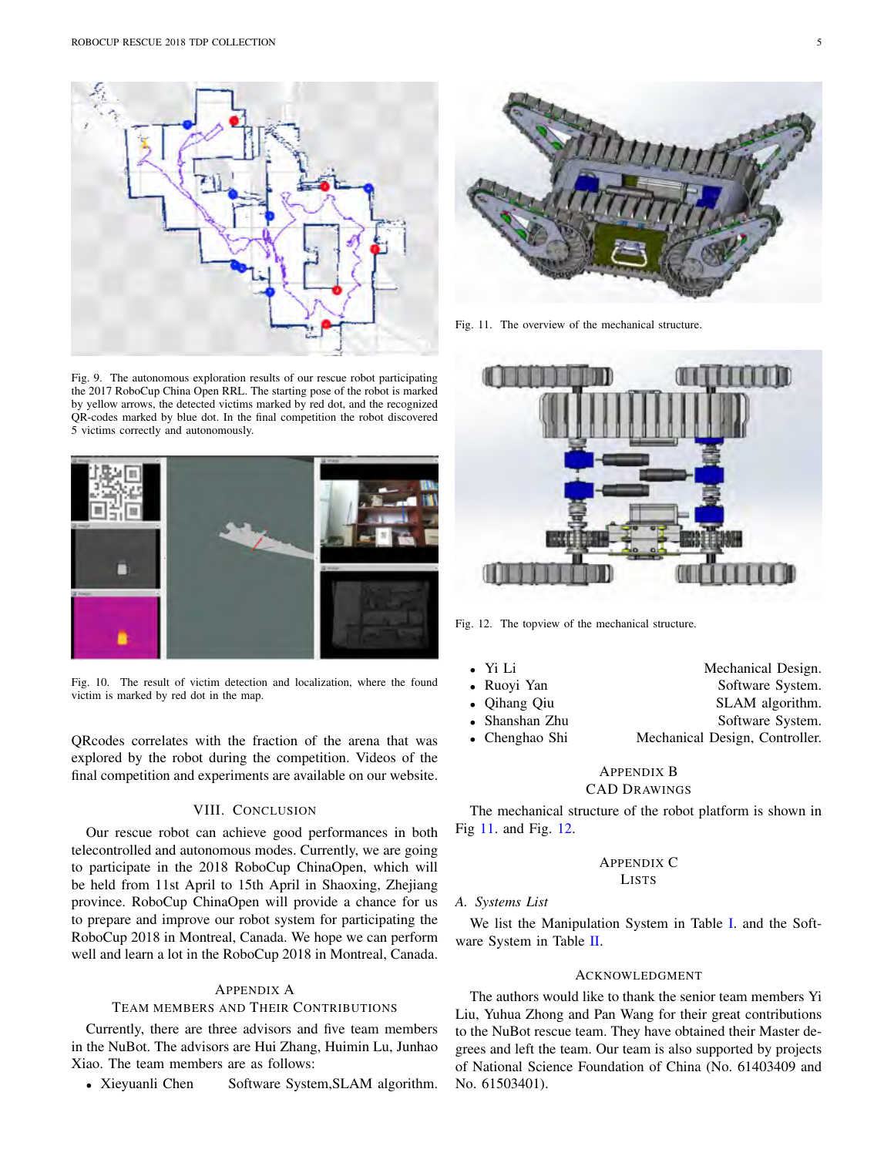

Fig. 9. The autonomous exploration results of our rescue robot participating the 2017 RoboCup China Open RRL. The starting pose of the robot is marked by yellow arrows, the detected victims marked by red dot, and the recognized QR-codes marked by blue dot. In the final competition the robot discovered 5 victims correctly and autonomously.



Fig. 10. The result of victim detection and localization, where the found victim is marked by red dot in the map.

QRcodes correlates with the fraction of the arena that was explored by the robot during the competition. Videos of the final competition and experiments are available on our website.

# VIII. CONCLUSION

Our rescue robot can achieve good performances in both telecontrolled and autonomous modes. Currently, we are going to participate in the 2018 RoboCup ChinaOpen, which will be held from 11st April to 15th April in Shaoxing, Zhejiang province. RoboCup ChinaOpen will provide a chance for us to prepare and improve our robot system for participating the RoboCup 2018 in Montreal, Canada. We hope we can perform well and learn a lot in the RoboCup 2018 in Montreal, Canada.

## APPENDIX A

## TEAM MEMBERS AND THEIR CONTRIBUTIONS

Currently, there are three advisors and five team members in the NuBot. The advisors are Hui Zhang, Huimin Lu, Junhao Xiao. The team members are as follows:

• Xieyuanli Chen Software System, SLAM algorithm.



Fig. 11. The overview of the mechanical structure.



Fig. 12. The topview of the mechanical structure.

| • Yi Li |                | Mechanical Design.             |
|---------|----------------|--------------------------------|
|         | • Ruovi Yan    | Software System.               |
|         | • Oihang Oiu   | SLAM algorithm.                |
|         | • Shanshan Zhu | Software System.               |
|         | • Chenghao Shi | Mechanical Design, Controller. |
|         |                |                                |

# APPENDIX B CAD DRAWINGS

The mechanical structure of the robot platform is shown in Fig 11. and Fig. 12.

# APPENDIX C LISTS

# *A. Systems List*

We list the Manipulation System in Table I. and the Software System in Table II.

## ACKNOWLEDGMENT

The authors would like to thank the senior team members Yi Liu, Yuhua Zhong and Pan Wang for their great contributions to the NuBot rescue team. They have obtained their Master degrees and left the team. Our team is also supported by projects of National Science Foundation of China (No. 61403409 and No. 61503401).